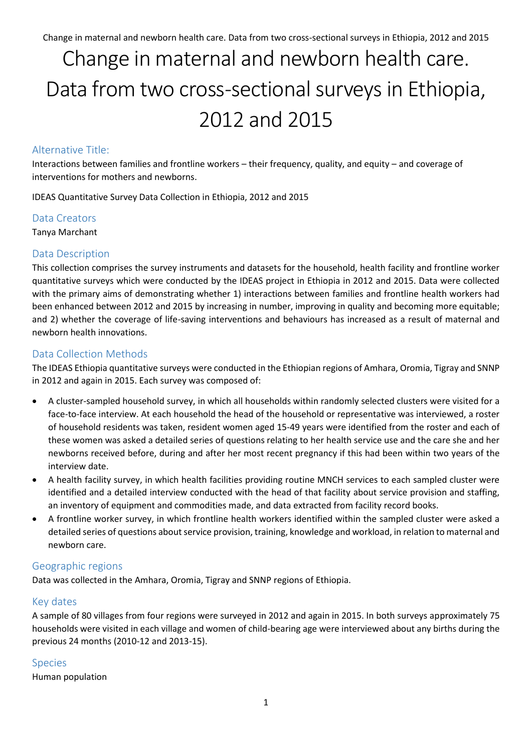# Change in maternal and newborn health care. Data from two cross-sectional surveys in Ethiopia, 2012 and 2015

# Alternative Title:

Interactions between families and frontline workers – their frequency, quality, and equity – and coverage of interventions for mothers and newborns.

IDEAS Quantitative Survey Data Collection in Ethiopia, 2012 and 2015

#### Data Creators

Tanya Marchant

# Data Description

This collection comprises the survey instruments and datasets for the household, health facility and frontline worker quantitative surveys which were conducted by the IDEAS project in Ethiopia in 2012 and 2015. Data were collected with the primary aims of demonstrating whether 1) interactions between families and frontline health workers had been enhanced between 2012 and 2015 by increasing in number, improving in quality and becoming more equitable; and 2) whether the coverage of life-saving interventions and behaviours has increased as a result of maternal and newborn health innovations.

# Data Collection Methods

The IDEAS Ethiopia quantitative surveys were conducted in the Ethiopian regions of Amhara, Oromia, Tigray and SNNP in 2012 and again in 2015. Each survey was composed of:

- A cluster-sampled household survey, in which all households within randomly selected clusters were visited for a face-to-face interview. At each household the head of the household or representative was interviewed, a roster of household residents was taken, resident women aged 15-49 years were identified from the roster and each of these women was asked a detailed series of questions relating to her health service use and the care she and her newborns received before, during and after her most recent pregnancy if this had been within two years of the interview date.
- A health facility survey, in which health facilities providing routine MNCH services to each sampled cluster were identified and a detailed interview conducted with the head of that facility about service provision and staffing, an inventory of equipment and commodities made, and data extracted from facility record books.
- A frontline worker survey, in which frontline health workers identified within the sampled cluster were asked a detailed series of questions about service provision, training, knowledge and workload, in relation to maternal and newborn care.

#### Geographic regions

Data was collected in the Amhara, Oromia, Tigray and SNNP regions of Ethiopia.

#### Key dates

A sample of 80 villages from four regions were surveyed in 2012 and again in 2015. In both surveys approximately 75 households were visited in each village and women of child-bearing age were interviewed about any births during the previous 24 months (2010-12 and 2013-15).

#### Species

Human population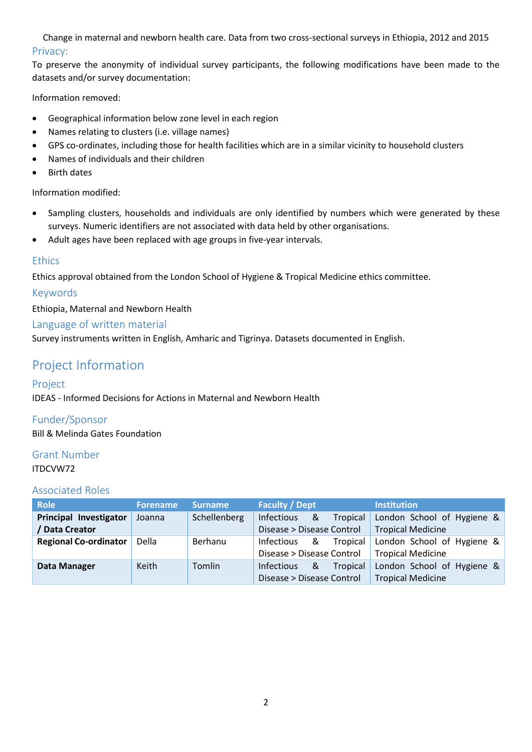Change in maternal and newborn health care. Data from two cross-sectional surveys in Ethiopia, 2012 and 2015 Privacy:

To preserve the anonymity of individual survey participants, the following modifications have been made to the datasets and/or survey documentation:

Information removed:

- Geographical information below zone level in each region
- Names relating to clusters (i.e. village names)
- GPS co-ordinates, including those for health facilities which are in a similar vicinity to household clusters
- Names of individuals and their children
- Birth dates

Information modified:

- Sampling clusters, households and individuals are only identified by numbers which were generated by these surveys. Numeric identifiers are not associated with data held by other organisations.
- Adult ages have been replaced with age groups in five-year intervals.

# **Ethics**

Ethics approval obtained from the London School of Hygiene & Tropical Medicine ethics committee.

# Keywords

Ethiopia, Maternal and Newborn Health

#### Language of written material

Survey instruments written in English, Amharic and Tigrinya. Datasets documented in English.

# Project Information

# Project

IDEAS - Informed Decisions for Actions in Maternal and Newborn Health

Funder/Sponsor

Bill & Melinda Gates Foundation

# Grant Number

#### ITDCVW72

# Associated Roles

| <b>Role</b>                  | Forename     | Surname      | <b>Faculty / Dept</b>     |          | <b>Institution</b>         |  |
|------------------------------|--------------|--------------|---------------------------|----------|----------------------------|--|
| Principal Investigator       | Joanna       | Schellenberg | &<br>Infectious           | Tropical | London School of Hygiene & |  |
| Data Creator                 |              |              | Disease > Disease Control |          | <b>Tropical Medicine</b>   |  |
| <b>Regional Co-ordinator</b> | <b>Della</b> | Berhanu      | &<br><b>Infectious</b>    | Tropical | London School of Hygiene & |  |
|                              |              |              | Disease > Disease Control |          | <b>Tropical Medicine</b>   |  |
| Data Manager                 | Keith        | Tomlin       | &<br><b>Infectious</b>    | Tropical | London School of Hygiene & |  |
|                              |              |              | Disease > Disease Control |          | <b>Tropical Medicine</b>   |  |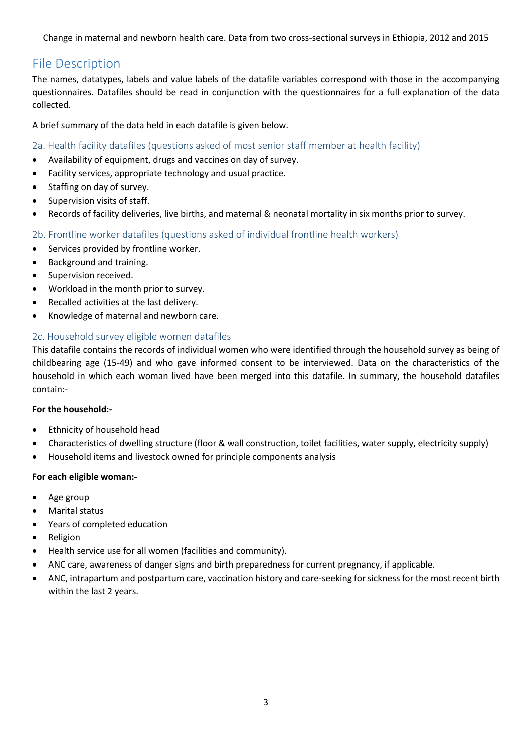Change in maternal and newborn health care. Data from two cross-sectional surveys in Ethiopia, 2012 and 2015

# File Description

The names, datatypes, labels and value labels of the datafile variables correspond with those in the accompanying questionnaires. Datafiles should be read in conjunction with the questionnaires for a full explanation of the data collected.

A brief summary of the data held in each datafile is given below.

# 2a. Health facility datafiles (questions asked of most senior staff member at health facility)

- Availability of equipment, drugs and vaccines on day of survey.
- Facility services, appropriate technology and usual practice.
- Staffing on day of survey.
- Supervision visits of staff.
- Records of facility deliveries, live births, and maternal & neonatal mortality in six months prior to survey.

# 2b. Frontline worker datafiles (questions asked of individual frontline health workers)

- **•** Services provided by frontline worker.
- Background and training.
- Supervision received.
- Workload in the month prior to survey.
- Recalled activities at the last delivery.
- Knowledge of maternal and newborn care.

# 2c. Household survey eligible women datafiles

This datafile contains the records of individual women who were identified through the household survey as being of childbearing age (15-49) and who gave informed consent to be interviewed. Data on the characteristics of the household in which each woman lived have been merged into this datafile. In summary, the household datafiles contain:-

#### **For the household:-**

- Ethnicity of household head
- Characteristics of dwelling structure (floor & wall construction, toilet facilities, water supply, electricity supply)
- Household items and livestock owned for principle components analysis

#### **For each eligible woman:-**

- Age group
- Marital status
- Years of completed education
- Religion
- Health service use for all women (facilities and community).
- ANC care, awareness of danger signs and birth preparedness for current pregnancy, if applicable.
- ANC, intrapartum and postpartum care, vaccination history and care-seeking for sickness for the most recent birth within the last 2 years.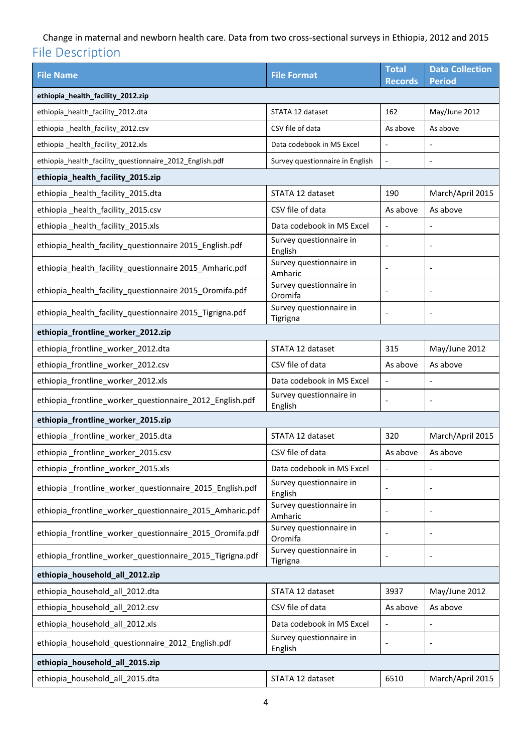# Change in maternal and newborn health care. Data from two cross-sectional surveys in Ethiopia, 2012 and 2015 File Description

| <b>File Name</b>                                          | <b>File Format</b>                  | <b>Total</b><br><b>Records</b> | <b>Data Collection</b><br><b>Period</b> |  |  |  |  |
|-----------------------------------------------------------|-------------------------------------|--------------------------------|-----------------------------------------|--|--|--|--|
| ethiopia_health_facility_2012.zip                         |                                     |                                |                                         |  |  |  |  |
| ethiopia_health_facility_2012.dta                         | STATA 12 dataset                    | 162                            | May/June 2012                           |  |  |  |  |
| ethiopia_health_facility_2012.csv                         | CSV file of data                    | As above                       | As above                                |  |  |  |  |
| ethiopia_health_facility_2012.xls                         | Data codebook in MS Excel           |                                |                                         |  |  |  |  |
| ethiopia_health_facility_questionnaire_2012_English.pdf   | Survey questionnaire in English     | ÷,                             | L.                                      |  |  |  |  |
| ethiopia_health_facility_2015.zip                         |                                     |                                |                                         |  |  |  |  |
| ethiopia_health_facility_2015.dta                         | STATA 12 dataset                    | 190                            | March/April 2015                        |  |  |  |  |
| ethiopia_health_facility_2015.csv                         | CSV file of data                    | As above                       | As above                                |  |  |  |  |
| ethiopia_health_facility_2015.xls                         | Data codebook in MS Excel           | $\overline{\phantom{a}}$       | $\overline{\phantom{0}}$                |  |  |  |  |
| ethiopia_health_facility_questionnaire 2015_English.pdf   | Survey questionnaire in<br>English  | $\overline{\phantom{a}}$       | $\overline{a}$                          |  |  |  |  |
| ethiopia_health_facility_questionnaire 2015_Amharic.pdf   | Survey questionnaire in<br>Amharic  | $\overline{\phantom{a}}$       | $\overline{\phantom{0}}$                |  |  |  |  |
| ethiopia_health_facility_questionnaire 2015_Oromifa.pdf   | Survey questionnaire in<br>Oromifa  |                                | $\overline{a}$                          |  |  |  |  |
| ethiopia_health_facility_questionnaire 2015_Tigrigna.pdf  | Survey questionnaire in<br>Tigrigna | Ĭ.                             | $\overline{a}$                          |  |  |  |  |
| ethiopia_frontline_worker_2012.zip                        |                                     |                                |                                         |  |  |  |  |
| ethiopia_frontline_worker_2012.dta                        | STATA 12 dataset                    | 315                            | May/June 2012                           |  |  |  |  |
| ethiopia_frontline_worker_2012.csv                        | CSV file of data                    | As above                       | As above                                |  |  |  |  |
| ethiopia_frontline_worker_2012.xls                        | Data codebook in MS Excel           | $\qquad \qquad \blacksquare$   | $\overline{a}$                          |  |  |  |  |
| ethiopia_frontline_worker_questionnaire_2012_English.pdf  | Survey questionnaire in<br>English  | $\overline{\phantom{a}}$       | $\qquad \qquad \blacksquare$            |  |  |  |  |
| ethiopia_frontline_worker_2015.zip                        |                                     |                                |                                         |  |  |  |  |
| ethiopia_frontline_worker_2015.dta                        | STATA 12 dataset                    | 320                            | March/April 2015                        |  |  |  |  |
| ethiopia_frontline_worker_2015.csv                        | CSV file of data                    | As above                       | As above                                |  |  |  |  |
| ethiopia_frontline_worker_2015.xls                        | Data codebook in MS Excel           | $\overline{\phantom{a}}$       | $\qquad \qquad \blacksquare$            |  |  |  |  |
| ethiopia_frontline_worker_questionnaire_2015_English.pdf  | Survey questionnaire in<br>English  | Ĭ.                             |                                         |  |  |  |  |
| ethiopia_frontline_worker_questionnaire_2015_Amharic.pdf  | Survey questionnaire in<br>Amharic  | $\overline{\phantom{a}}$       |                                         |  |  |  |  |
| ethiopia_frontline_worker_questionnaire_2015_Oromifa.pdf  | Survey questionnaire in<br>Oromifa  | $\overline{\phantom{a}}$       | $\qquad \qquad \blacksquare$            |  |  |  |  |
| ethiopia_frontline_worker_questionnaire_2015_Tigrigna.pdf | Survey questionnaire in<br>Tigrigna | $\overline{\phantom{a}}$       | $\overline{\phantom{a}}$                |  |  |  |  |
| ethiopia_household_all_2012.zip                           |                                     |                                |                                         |  |  |  |  |
| ethiopia_household_all_2012.dta                           | STATA 12 dataset                    | 3937                           | May/June 2012                           |  |  |  |  |
| ethiopia_household_all_2012.csv                           | CSV file of data                    | As above                       | As above                                |  |  |  |  |
| ethiopia_household_all_2012.xls                           | Data codebook in MS Excel           | $\blacksquare$                 | $\overline{\phantom{0}}$                |  |  |  |  |
| ethiopia_household_questionnaire_2012_English.pdf         | Survey questionnaire in<br>English  |                                |                                         |  |  |  |  |
| ethiopia_household_all_2015.zip                           |                                     |                                |                                         |  |  |  |  |
| ethiopia_household_all_2015.dta                           | STATA 12 dataset                    | 6510                           | March/April 2015                        |  |  |  |  |